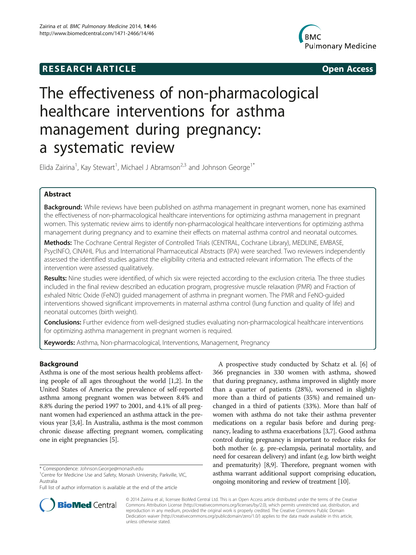# **RESEARCH ARTICLE Example 20 and 20 and 20 and 20 and 20 and 20 and 20 and 20 and 20 and 20 and 20 and 20 and 20 and 20 and 20 and 20 and 20 and 20 and 20 and 20 and 20 and 20 and 20 and 20 and 20 and 20 and 20 and 20 an**





# The effectiveness of non-pharmacological healthcare interventions for asthma management during pregnancy: a systematic review

Elida Zairina<sup>1</sup>, Kay Stewart<sup>1</sup>, Michael J Abramson<sup>2,3</sup> and Johnson George<sup>1\*</sup>

# Abstract

Background: While reviews have been published on asthma management in pregnant women, none has examined the effectiveness of non-pharmacological healthcare interventions for optimizing asthma management in pregnant women. This systematic review aims to identify non-pharmacological healthcare interventions for optimizing asthma management during pregnancy and to examine their effects on maternal asthma control and neonatal outcomes.

Methods: The Cochrane Central Register of Controlled Trials (CENTRAL, Cochrane Library), MEDLINE, EMBASE, PsycINFO, CINAHL Plus and International Pharmaceutical Abstracts (IPA) were searched. Two reviewers independently assessed the identified studies against the eligibility criteria and extracted relevant information. The effects of the intervention were assessed qualitatively.

Results: Nine studies were identified, of which six were rejected according to the exclusion criteria. The three studies included in the final review described an education program, progressive muscle relaxation (PMR) and Fraction of exhaled Nitric Oxide (FeNO) guided management of asthma in pregnant women. The PMR and FeNO-guided interventions showed significant improvements in maternal asthma control (lung function and quality of life) and neonatal outcomes (birth weight).

Conclusions: Further evidence from well-designed studies evaluating non-pharmacological healthcare interventions for optimizing asthma management in pregnant women is required.

Keywords: Asthma, Non-pharmacological, Interventions, Management, Pregnancy

# Background

Asthma is one of the most serious health problems affecting people of all ages throughout the world [[1,2](#page-6-0)]. In the United States of America the prevalence of self-reported asthma among pregnant women was between 8.4% and 8.8% during the period 1997 to 2001, and 4.1% of all pregnant women had experienced an asthma attack in the previous year [\[3,4\]](#page-6-0). In Australia, asthma is the most common chronic disease affecting pregnant women, complicating one in eight pregnancies [[5\]](#page-6-0).

A prospective study conducted by Schatz et al. [[6](#page-6-0)] of 366 pregnancies in 330 women with asthma, showed that during pregnancy, asthma improved in slightly more than a quarter of patients (28%), worsened in slightly more than a third of patients (35%) and remained unchanged in a third of patients (33%). More than half of women with asthma do not take their asthma preventer medications on a regular basis before and during pregnancy, leading to asthma exacerbations [[3,7](#page-6-0)]. Good asthma control during pregnancy is important to reduce risks for both mother (e. g. pre-eclampsia, perinatal mortality, and need for cesarean delivery) and infant (e.g. low birth weight and prematurity) [\[8,9\]](#page-6-0). Therefore, pregnant women with asthma warrant additional support comprising education, ongoing monitoring and review of treatment [[10](#page-6-0)].



© 2014 Zairina et al.; licensee BioMed Central Ltd. This is an Open Access article distributed under the terms of the Creative Commons Attribution License [\(http://creativecommons.org/licenses/by/2.0\)](http://creativecommons.org/licenses/by/2.0), which permits unrestricted use, distribution, and reproduction in any medium, provided the original work is properly credited. The Creative Commons Public Domain Dedication waiver [\(http://creativecommons.org/publicdomain/zero/1.0/](http://creativecommons.org/publicdomain/zero/1.0/)) applies to the data made available in this article, unless otherwise stated.

<sup>\*</sup> Correspondence: [Johnson.George@monash.edu](mailto:Johnson.George@monash.edu) <sup>1</sup>

<sup>&</sup>lt;sup>1</sup> Centre for Medicine Use and Safety, Monash University, Parkville, VIC, Australia

Full list of author information is available at the end of the article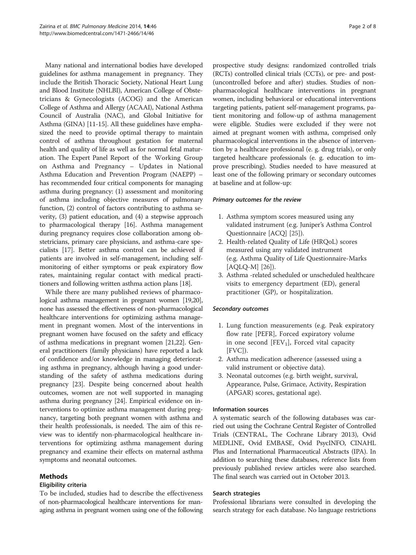Many national and international bodies have developed guidelines for asthma management in pregnancy. They include the British Thoracic Society, National Heart Lung and Blood Institute (NHLBI), American College of Obstetricians & Gynecologists (ACOG) and the American College of Asthma and Allergy (ACAAI), National Asthma Council of Australia (NAC), and Global Initiative for Asthma (GINA) [[11](#page-6-0)-[15](#page-7-0)]. All these guidelines have emphasized the need to provide optimal therapy to maintain control of asthma throughout gestation for maternal health and quality of life as well as for normal fetal maturation. The Expert Panel Report of the Working Group on Asthma and Pregnancy – Updates in National Asthma Education and Prevention Program (NAEPP) – has recommended four critical components for managing asthma during pregnancy: (1) assessment and monitoring of asthma including objective measures of pulmonary function, (2) control of factors contributing to asthma severity, (3) patient education, and (4) a stepwise approach to pharmacological therapy [\[16\]](#page-7-0). Asthma management during pregnancy requires close collaboration among obstetricians, primary care physicians, and asthma-care specialists [[17\]](#page-7-0). Better asthma control can be achieved if patients are involved in self-management, including selfmonitoring of either symptoms or peak expiratory flow rates, maintaining regular contact with medical practitioners and following written asthma action plans [\[18\]](#page-7-0).

While there are many published reviews of pharmacological asthma management in pregnant women [[19,20](#page-7-0)], none has assessed the effectiveness of non-pharmacological healthcare interventions for optimizing asthma management in pregnant women. Most of the interventions in pregnant women have focused on the safety and efficacy of asthma medications in pregnant women [\[21,22](#page-7-0)]. General practitioners (family physicians) have reported a lack of confidence and/or knowledge in managing deteriorating asthma in pregnancy, although having a good understanding of the safety of asthma medications during pregnancy [[23](#page-7-0)]. Despite being concerned about health outcomes, women are not well supported in managing asthma during pregnancy [[24](#page-7-0)]. Empirical evidence on interventions to optimize asthma management during pregnancy, targeting both pregnant women with asthma and their health professionals, is needed. The aim of this review was to identify non-pharmacological healthcare interventions for optimizing asthma management during pregnancy and examine their effects on maternal asthma symptoms and neonatal outcomes.

# Methods

# Eligibility criteria

To be included, studies had to describe the effectiveness of non-pharmacological healthcare interventions for managing asthma in pregnant women using one of the following

prospective study designs: randomized controlled trials (RCTs) controlled clinical trials (CCTs), or pre- and post- (uncontrolled before and after) studies. Studies of nonpharmacological healthcare interventions in pregnant women, including behavioral or educational interventions targeting patients, patient self-management programs, patient monitoring and follow-up of asthma management were eligible. Studies were excluded if they were not aimed at pregnant women with asthma, comprised only pharmacological interventions in the absence of intervention by a healthcare professional (e. g. drug trials), or only targeted healthcare professionals (e. g. education to improve prescribing). Studies needed to have measured at least one of the following primary or secondary outcomes at baseline and at follow-up:

#### Primary outcomes for the review

- 1. Asthma symptom scores measured using any validated instrument (e.g. Juniper's Asthma Control Questionnaire [ACQ] [\[25](#page-7-0)]).
- 2. Health-related Quality of Life (HRQoL) scores measured using any validated instrument (e.g. Asthma Quality of Life Questionnaire-Marks [AQLQ-M] [[26](#page-7-0)]).
- 3. Asthma -related scheduled or unscheduled healthcare visits to emergency department (ED), general practitioner (GP), or hospitalization.

# Secondary outcomes

- 1. Lung function measurements (e.g. Peak expiratory flow rate [PEFR], Forced expiratory volume in one second  $[FEV<sub>1</sub>]$ , Forced vital capacity  $[FVC]$ ).
- 2. Asthma medication adherence (assessed using a valid instrument or objective data).
- 3. Neonatal outcomes (e.g. birth weight, survival, Appearance, Pulse, Grimace, Activity, Respiration (APGAR) scores, gestational age).

# Information sources

A systematic search of the following databases was carried out using the Cochrane Central Register of Controlled Trials (CENTRAL, The Cochrane Library 2013), Ovid MEDLINE, Ovid EMBASE, Ovid PsycINFO, CINAHL Plus and International Pharmaceutical Abstracts (IPA). In addition to searching these databases, reference lists from previously published review articles were also searched. The final search was carried out in October 2013.

# Search strategies

Professional librarians were consulted in developing the search strategy for each database. No language restrictions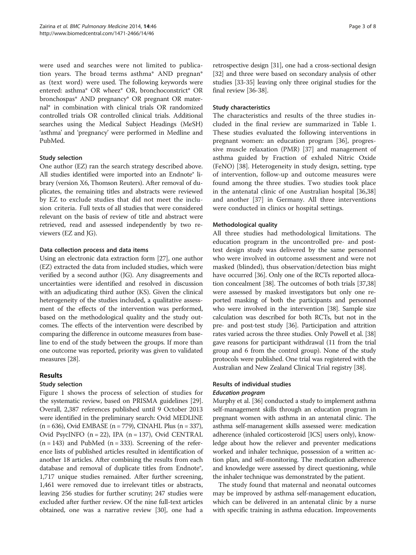were used and searches were not limited to publication years. The broad terms asthma\* AND pregnan\* as (text word) were used. The following keywords were entered: asthma\* OR wheez\* OR, bronchoconstrict\* OR bronchospas\* AND pregnancy\* OR pregnant OR maternal\* in combination with clinical trials OR randomized controlled trials OR controlled clinical trials. Additional searches using the Medical Subject Headings (MeSH) 'asthma' and 'pregnancy' were performed in Medline and PubMed.

# Study selection

One author (EZ) ran the search strategy described above. All studies identified were imported into an Endnote® library (version X6, Thomson Reuters). After removal of duplicates, the remaining titles and abstracts were reviewed by EZ to exclude studies that did not meet the inclusion criteria. Full texts of all studies that were considered relevant on the basis of review of title and abstract were retrieved, read and assessed independently by two reviewers (EZ and JG).

#### Data collection process and data items

Using an electronic data extraction form [\[27\]](#page-7-0), one author (EZ) extracted the data from included studies, which were verified by a second author (JG). Any disagreements and uncertainties were identified and resolved in discussion with an adjudicating third author (KS). Given the clinical heterogeneity of the studies included, a qualitative assessment of the effects of the intervention was performed, based on the methodological quality and the study outcomes. The effects of the intervention were described by comparing the difference in outcome measures from baseline to end of the study between the groups. If more than one outcome was reported, priority was given to validated measures [[28](#page-7-0)].

# Results

# Study selection

Figure [1](#page-3-0) shows the process of selection of studies for the systematic review, based on PRISMA guidelines [[29](#page-7-0)]. Overall, 2,387 references published until 9 October 2013 were identified in the preliminary search: Ovid MEDLINE (n = 636), Ovid EMBASE (n = 779), CINAHL Plus (n = 337), Ovid PsycINFO  $(n = 22)$ , IPA  $(n = 137)$ , Ovid CENTRAL  $(n = 143)$  and PubMed  $(n = 333)$ . Screening of the reference lists of published articles resulted in identification of another 18 articles. After combining the results from each database and removal of duplicate titles from Endnote®, 1,717 unique studies remained. After further screening, 1,461 were removed due to irrelevant titles or abstracts, leaving 256 studies for further scrutiny; 247 studies were excluded after further review. Of the nine full-text articles obtained, one was a narrative review [\[30\]](#page-7-0), one had a

retrospective design [[31](#page-7-0)], one had a cross-sectional design [[32](#page-7-0)] and three were based on secondary analysis of other studies [\[33-35\]](#page-7-0) leaving only three original studies for the final review [\[36](#page-7-0)-[38](#page-7-0)].

#### Study characteristics

The characteristics and results of the three studies included in the final review are summarized in Table [1](#page-4-0). These studies evaluated the following interventions in pregnant women: an education program [\[36](#page-7-0)], progressive muscle relaxation (PMR) [[37\]](#page-7-0) and management of asthma guided by Fraction of exhaled Nitric Oxide (FeNO) [\[38\]](#page-7-0). Heterogeneity in study design, setting, type of intervention, follow-up and outcome measures were found among the three studies. Two studies took place in the antenatal clinic of one Australian hospital [[36](#page-7-0),[38](#page-7-0)] and another [[37\]](#page-7-0) in Germany. All three interventions were conducted in clinics or hospital settings.

#### Methodological quality

All three studies had methodological limitations. The education program in the uncontrolled pre- and posttest design study was delivered by the same personnel who were involved in outcome assessment and were not masked (blinded), thus observation/detection bias might have occurred [[36](#page-7-0)]. Only one of the RCTs reported allocation concealment [[38](#page-7-0)]. The outcomes of both trials [\[37,38](#page-7-0)] were assessed by masked investigators but only one reported masking of both the participants and personnel who were involved in the intervention [[38](#page-7-0)]. Sample size calculation was described for both RCTs, but not in the pre- and post-test study [[36](#page-7-0)]. Participation and attrition rates varied across the three studies. Only Powell et al. [[38](#page-7-0)] gave reasons for participant withdrawal (11 from the trial group and 6 from the control group). None of the study protocols were published. One trial was registered with the Australian and New Zealand Clinical Trial registry [[38](#page-7-0)].

# Results of individual studies Education program

Murphy et al. [[36](#page-7-0)] conducted a study to implement asthma self-management skills through an education program in pregnant women with asthma in an antenatal clinic. The asthma self-management skills assessed were: medication adherence (inhaled corticosteroid [ICS] users only), knowledge about how the reliever and preventer medications worked and inhaler technique, possession of a written action plan, and self-monitoring. The medication adherence and knowledge were assessed by direct questioning, while the inhaler technique was demonstrated by the patient.

The study found that maternal and neonatal outcomes may be improved by asthma self-management education, which can be delivered in an antenatal clinic by a nurse with specific training in asthma education. Improvements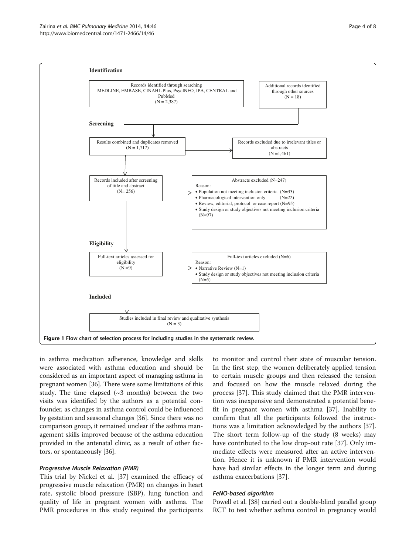<span id="page-3-0"></span>

in asthma medication adherence, knowledge and skills were associated with asthma education and should be considered as an important aspect of managing asthma in pregnant women [[36](#page-7-0)]. There were some limitations of this study. The time elapsed  $(\sim 3 \text{ months})$  between the two visits was identified by the authors as a potential confounder, as changes in asthma control could be influenced by gestation and seasonal changes [\[36\]](#page-7-0). Since there was no comparison group, it remained unclear if the asthma management skills improved because of the asthma education provided in the antenatal clinic, as a result of other factors, or spontaneously [[36](#page-7-0)].

#### Progressive Muscle Relaxation (PMR)

This trial by Nickel et al. [[37\]](#page-7-0) examined the efficacy of progressive muscle relaxation (PMR) on changes in heart rate, systolic blood pressure (SBP), lung function and quality of life in pregnant women with asthma. The PMR procedures in this study required the participants

to monitor and control their state of muscular tension. In the first step, the women deliberately applied tension to certain muscle groups and then released the tension and focused on how the muscle relaxed during the process [[37](#page-7-0)]. This study claimed that the PMR intervention was inexpensive and demonstrated a potential benefit in pregnant women with asthma [[37\]](#page-7-0). Inability to confirm that all the participants followed the instructions was a limitation acknowledged by the authors [\[37](#page-7-0)]. The short term follow-up of the study (8 weeks) may have contributed to the low drop-out rate [\[37\]](#page-7-0). Only immediate effects were measured after an active intervention. Hence it is unknown if PMR intervention would have had similar effects in the longer term and during asthma exacerbations [[37\]](#page-7-0).

#### FeNO-based algorithm

Powell et al. [\[38\]](#page-7-0) carried out a double-blind parallel group RCT to test whether asthma control in pregnancy would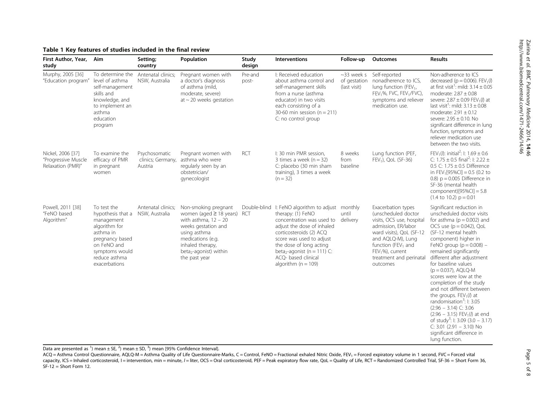| First Author, Year,<br>study                                  | Aim                                                                                                                                                                | Setting;<br>country                           | Population                                                                                                                                                                                                       | Study<br>design  | Interventions                                                                                                                                                                                                                                                                                          | Follow-up                                     | Outcomes                                                                                                                                                                                                                                      | <b>Results</b>                                                                                                                                                                                                                                                                                                                                                                                                                                                                                                                                                                                                                                                                                  |
|---------------------------------------------------------------|--------------------------------------------------------------------------------------------------------------------------------------------------------------------|-----------------------------------------------|------------------------------------------------------------------------------------------------------------------------------------------------------------------------------------------------------------------|------------------|--------------------------------------------------------------------------------------------------------------------------------------------------------------------------------------------------------------------------------------------------------------------------------------------------------|-----------------------------------------------|-----------------------------------------------------------------------------------------------------------------------------------------------------------------------------------------------------------------------------------------------|-------------------------------------------------------------------------------------------------------------------------------------------------------------------------------------------------------------------------------------------------------------------------------------------------------------------------------------------------------------------------------------------------------------------------------------------------------------------------------------------------------------------------------------------------------------------------------------------------------------------------------------------------------------------------------------------------|
| Murphy, 2005 [36]<br>"Education program"                      | To determine the<br>level of asthma<br>self-management<br>skills and<br>knowledge, and<br>to implement an<br>asthma<br>education<br>program                        | Antenatal clinics;<br>NSW, Australia          | Pregnant women with<br>a doctor's diagnosis<br>of asthma (mild,<br>moderate, severe)<br>at $\sim$ 20 weeks gestation                                                                                             | Pre-and<br>post- | I: Received education<br>about asthma control and<br>self-management skills<br>from a nurse (asthma<br>educator) in two visits<br>each consisting of a<br>30-60 min session ( $n = 211$ )<br>C: no control group                                                                                       | $~133$ week s<br>of gestation<br>(last visit) | Self-reported<br>nonadherence to ICS,<br>lung function (FEV <sub>1</sub> ,<br>$FEV1%$ , FVC, FEV <sub>1</sub> /FVC),<br>symptoms and reliever<br>medication use.                                                                              | Non-adherence to ICS<br>decreased ( $p = 0.006$ ). FEV <sub>1</sub> ( $\theta$ )<br>at first visit <sup>1</sup> : mild: $3.14 \pm 0.05$<br>moderate: $2.87 \pm 0.08$<br>severe: $2.87 \pm 0.09$ FEV <sub>1</sub> ( <i>l</i> ) at<br>last visit <sup>1</sup> : mild: $3.13 \pm 0.08$<br>moderate: $2.91 \pm 0.12$<br>severe: 2.95 ± 0.10. No<br>significant difference in lung<br>function, symptoms and<br>reliever medication use<br>between the two visits.                                                                                                                                                                                                                                   |
| Nickel, 2006 [37]<br>"Progressive Muscle<br>Relaxation (PMR)" | To examine the<br>efficacy of PMR<br>in pregnant<br>women                                                                                                          | Psychosomatic<br>clinics; Germany,<br>Austria | Pregnant women with<br>asthma who were<br>regularly seen by an<br>obstetrician/<br>gynecologist                                                                                                                  | <b>RCT</b>       | I: 30 min PMR session,<br>3 times a week ( $n = 32$ )<br>C: placebo (30 min sham<br>training), 3 times a week<br>$(n = 32)$                                                                                                                                                                            | 8 weeks<br>from<br>baseline                   | Lung function (PEF,<br>$FEV1$ ), QoL (SF-36)                                                                                                                                                                                                  | FEV <sub>1</sub> ( <i>l</i> ): initial <sup>2</sup> : l: 1.69 $\pm$ 0.6<br>C: $1.75 \pm 0.5$ final <sup>2</sup> : I: $2.22 \pm$<br>0.5 C: $1.75 \pm 0.5$ Difference<br>in FEV <sub>1</sub> [95%CI] = 0.5 (0.2 to<br>0.8) $p = 0.005$ Difference in<br>SF-36 (mental health<br>component) $[95\%CI] = 5.8$<br>$(1.4 \text{ to } 10.2) \text{ p} = 0.01$                                                                                                                                                                                                                                                                                                                                          |
| Powell, 2011 [38]<br>"FeNO based<br>Algorithm"                | To test the<br>hypothesis that a<br>management<br>algorithm for<br>asthma in<br>pregnancy based<br>on FeNO and<br>symptoms would<br>reduce asthma<br>exacerbations | Antenatal clinics;<br>NSW, Australia          | Non-smoking pregnant<br>women (aged $\geq$ 18 years) RCT<br>with asthma, $12 - 20$<br>weeks gestation and<br>using asthma<br>medications (e.g.<br>inhaled therapy,<br>$beta_2$ -agonist) within<br>the past year | Double-blind     | I: FeNO algorithm to adjust monthly<br>therapy: (1) FeNO<br>concentration was used to<br>adjust the dose of inhaled<br>corticosteroids (2) ACQ<br>score was used to adjust<br>the dose of long acting<br>beta <sub>2</sub> -agonist ( $n = 111$ ) C:<br>ACQ- based clinical<br>algorithm ( $n = 109$ ) | until<br>delivery                             | Exacerbation types<br>(unscheduled doctor<br>visits, OCS use, hospital<br>admission, ER/labor<br>ward visits), QoL (SF-12<br>and AQLQ-M), Lung<br>function (FEV <sub>1</sub> and<br>$FEV1%$ ), current<br>treatment and perinatal<br>outcomes | Significant reduction in<br>unscheduled doctor visits<br>for asthma ( $p = 0.002$ ) and<br>OCS use $(p = 0.042)$ , QoL<br>(SF-12 mental health<br>component) higher in<br>FeNO group ( $p = 0.008$ ) –<br>remained significantly<br>different after adjustment<br>for baseline values<br>$(p = 0.037)$ , AQLQ-M<br>scores were low at the<br>completion of the study<br>and not different between<br>the groups. $FEV_1(l)$ at<br>randomisation <sup>3</sup> : $\frac{1}{2}$ : 3.05<br>$(2.96 - 3.14)$ C: 3.06<br>$(2.96 - 3.15)$ FEV <sub>1</sub> ( $\ell$ ) at end<br>of study <sup>3</sup> : I: 3.09 (3.0 – 3.17)<br>C: 3.01 (2.91 - 3.10) No<br>significant difference in<br>lung function. |

# <span id="page-4-0"></span>Table 1 Key features of studies included in the final review

Data are presented as <sup>1</sup>) mean  $\pm$  SE, <sup>2</sup>) mean  $\pm$  SD, <sup>3</sup>) mean [95% Confidence Interval].

ACQ = Asthma Control Questionnaire, AQLQ-M = Asthma Quality of Life Questionnaire-Marks, C = Control, FeNO = Fractional exhaled Nitric Oxide, FEV<sub>1</sub> = Forced expiratory volume in 1 second, FVC = Forced vital capacity, ICS = Inhaled corticosteroid, I = intervention, min = minute, I = liter, OCS = Oral corticosteroid, PEF = Peak expiratory flow rate, QoL = Quality of Life, RCT = Randomized Controlled Trial, SF-36 = Short Form 36  $SF-12 = Short Form 12$ .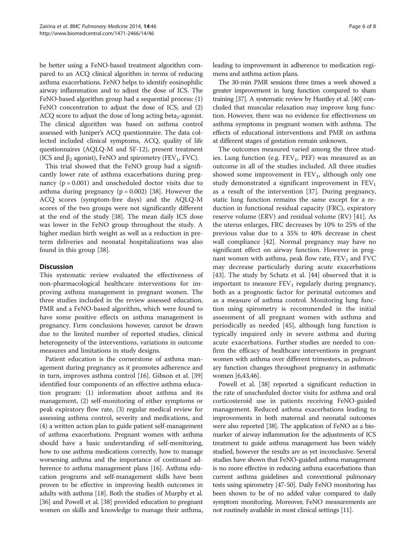be better using a FeNO-based treatment algorithm compared to an ACQ clinical algorithm in terms of reducing asthma exacerbations. FeNO helps to identify eosinophilic airway inflammation and to adjust the dose of ICS. The FeNO-based algorithm group had a sequential process: (1) FeNO concentration to adjust the dose of ICS; and (2) ACQ score to adjust the dose of long acting beta<sub>2</sub>-agonist. The clinical algorithm was based on asthma control assessed with Juniper's ACQ questionnaire. The data collected included clinical symptoms, ACQ, quality of life questionnaires (AQLQ-M and SF-12), present treatment (ICS and  $\beta_2$  agonist), FeNO and spirometry (FEV<sub>1</sub>, FVC).

This trial showed that the FeNO group had a significantly lower rate of asthma exacerbations during pregnancy  $(p = 0.001)$  and unscheduled doctor visits due to asthma during pregnancy  $(p = 0.002)$  [[38](#page-7-0)]. However the ACQ scores (symptom-free days) and the AQLQ-M scores of the two groups were not significantly different at the end of the study [\[38](#page-7-0)]. The mean daily ICS dose was lower in the FeNO group throughout the study. A higher median birth weight as well as a reduction in preterm deliveries and neonatal hospitalizations was also found in this group [\[38](#page-7-0)].

# **Discussion**

This systematic review evaluated the effectiveness of non-pharmacological healthcare interventions for improving asthma management in pregnant women. The three studies included in the review assessed education, PMR and a FeNO-based algorithm, which were found to have some positive effects on asthma management in pregnancy. Firm conclusions however, cannot be drawn due to the limited number of reported studies, clinical heterogeneity of the interventions, variations in outcome measures and limitations in study designs.

Patient education is the cornerstone of asthma management during pregnancy as it promotes adherence and in turn, improves asthma control [\[16](#page-7-0)]. Gibson et al. [[39](#page-7-0)] identified four components of an effective asthma education program: (1) information about asthma and its management, (2) self-monitoring of either symptoms or peak expiratory flow rate, (3) regular medical review for assessing asthma control, severity and medications, and (4) a written action plan to guide patient self-management of asthma exacerbations. Pregnant women with asthma should have a basic understanding of self-monitoring, how to use asthma medications correctly, how to manage worsening asthma and the importance of continued adherence to asthma management plans [[16\]](#page-7-0). Asthma education programs and self-management skills have been proven to be effective in improving health outcomes in adults with asthma [\[18\]](#page-7-0). Both the studies of Murphy et al. [[36](#page-7-0)] and Powell et al. [[38](#page-7-0)] provided education to pregnant women on skills and knowledge to manage their asthma,

leading to improvement in adherence to medication regimens and asthma action plans.

The 30-min PMR sessions three times a week showed a greater improvement in lung function compared to sham training [\[37\]](#page-7-0). A systematic review by Huntley et al. [\[40](#page-7-0)] concluded that muscular relaxation may improve lung function. However, there was no evidence for effectiveness on asthma symptoms in pregnant women with asthma. The effects of educational interventions and PMR on asthma at different stages of gestation remain unknown.

The outcomes measured varied among the three studies. Lung function (e.g.  $FEV_1$ ,  $PEF$ ) was measured as an outcome in all of the studies included. All three studies showed some improvement in  $FEV<sub>1</sub>$ , although only one study demonstrated a significant improvement in  $FEV<sub>1</sub>$ as a result of the intervention [\[37](#page-7-0)]. During pregnancy, static lung function remains the same except for a reduction in functional residual capacity (FRC), expiratory reserve volume (ERV) and residual volume (RV) [[41](#page-7-0)]. As the uterus enlarges, FRC decreases by 10% to 25% of the previous value due to a 35% to 40% decrease in chest wall compliance [\[42](#page-7-0)]. Normal pregnancy may have no significant effect on airway function. However in pregnant women with asthma, peak flow rate,  $FEV<sub>1</sub>$  and  $FVC$ may decrease particularly during acute exacerbations [[43\]](#page-7-0). The study by Schatz et al. [\[44\]](#page-7-0) observed that it is important to measure  $FEV<sub>1</sub>$  regularly during pregnancy, both as a prognostic factor for perinatal outcomes and as a measure of asthma control. Monitoring lung function using spirometry is recommended in the initial assessment of all pregnant women with asthma and periodically as needed [[45](#page-7-0)], although lung function is typically impaired only in severe asthma and during acute exacerbations. Further studies are needed to confirm the efficacy of healthcare interventions in pregnant women with asthma over different trimesters, as pulmonary function changes throughout pregnancy in asthmatic women [\[6,](#page-6-0)[43](#page-7-0),[46](#page-7-0)].

Powell et al. [[38](#page-7-0)] reported a significant reduction in the rate of unscheduled doctor visits for asthma and oral corticosteroid use in patients receiving FeNO-guided management. Reduced asthma exacerbations leading to improvements in both maternal and neonatal outcomes were also reported [\[38\]](#page-7-0). The application of FeNO as a biomarker of airway inflammation for the adjustments of ICS treatment to guide asthma management has been widely studied, however the results are as yet inconclusive. Several studies have shown that FeNO-guided asthma management is no more effective in reducing asthma exacerbations than current asthma guidelines and conventional pulmonary tests using spirometry [[47-50\]](#page-7-0). Daily FeNO monitoring has been shown to be of no added value compared to daily symptom monitoring. Moreover, FeNO measurements are not routinely available in most clinical settings [\[11\]](#page-6-0).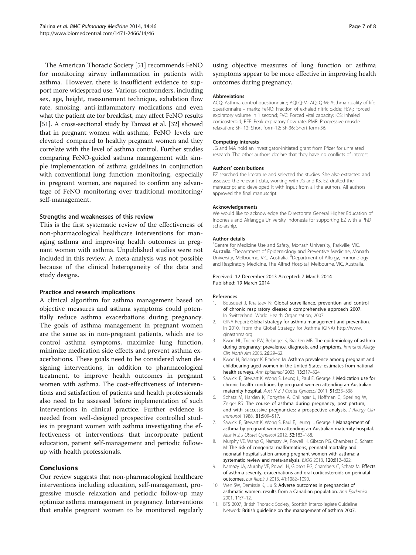<span id="page-6-0"></span>The American Thoracic Society [[51](#page-7-0)] recommends FeNO for monitoring airway inflammation in patients with asthma. However, there is insufficient evidence to support more widespread use. Various confounders, including sex, age, height, measurement technique, exhalation flow rate, smoking, anti-inflammatory medications and even what the patient ate for breakfast, may affect FeNO results [[51](#page-7-0)]. A cross-sectional study by Tamasi et al. [\[32](#page-7-0)] showed that in pregnant women with asthma, FeNO levels are elevated compared to healthy pregnant women and they correlate with the level of asthma control. Further studies comparing FeNO-guided asthma management with simple implementation of asthma guidelines in conjunction with conventional lung function monitoring, especially in pregnant women, are required to confirm any advantage of FeNO monitoring over traditional monitoring/ self-management.

#### Strengths and weaknesses of this review

This is the first systematic review of the effectiveness of non-pharmacological healthcare interventions for managing asthma and improving health outcomes in pregnant women with asthma. Unpublished studies were not included in this review. A meta-analysis was not possible because of the clinical heterogeneity of the data and study designs.

# Practice and research implications

A clinical algorithm for asthma management based on objective measures and asthma symptoms could potentially reduce asthma exacerbations during pregnancy. The goals of asthma management in pregnant women are the same as in non-pregnant patients, which are to control asthma symptoms, maximize lung function, minimize medication side effects and prevent asthma exacerbations. These goals need to be considered when designing interventions, in addition to pharmacological treatment, to improve health outcomes in pregnant women with asthma. The cost-effectiveness of interventions and satisfaction of patients and health professionals also need to be assessed before implementation of such interventions in clinical practice. Further evidence is needed from well-designed prospective controlled studies in pregnant women with asthma investigating the effectiveness of interventions that incorporate patient education, patient self-management and periodic followup with health professionals.

# Conclusions

Our review suggests that non-pharmacological healthcare interventions including education, self-management, progressive muscle relaxation and periodic follow-up may optimize asthma management in pregnancy. Interventions that enable pregnant women to be monitored regularly using objective measures of lung function or asthma symptoms appear to be more effective in improving health outcomes during pregnancy.

#### Abbreviations

ACQ: Asthma control questionnaire; AQLQ-M; AQLQ-M: Asthma quality of life questionnaire – marks; FeNO: Fraction of exhaled nitric oxide; FEV<sub>1</sub>: Forced expiratory volume in 1 second; FVC: Forced vital capacity; ICS: Inhaled corticosteroid; PEF: Peak expiratory flow rate; PMR: Progressive muscle relaxation; SF- 12: Short form-12; SF-36: Short form-36.

#### Competing interests

JG and MA hold an investigator-initiated grant from Pfizer for unrelated research. The other authors declare that they have no conflicts of interest.

#### Authors' contributions

EZ searched the literature and selected the studies. She also extracted and assessed the relevant data, working with JG and KS. EZ drafted the manuscript and developed it with input from all the authors. All authors approved the final manuscript.

#### Acknowledgements

We would like to acknowledge the Directorate General Higher Education of Indonesia and Airlangga University Indonesia for supporting EZ with a PhD scholarship.

#### Author details

<sup>1</sup> Centre for Medicine Use and Safety, Monash University, Parkville, VIC, Australia. <sup>2</sup>Department of Epidemiology and Preventive Medicine, Monash University, Melbourne, VIC, Australia. <sup>3</sup> Department of Allergy, Immunology and Respiratory Medicine, The Alfred Hospital, Melbourne, VIC, Australia.

#### Received: 12 December 2013 Accepted: 7 March 2014 Published: 19 March 2014

#### References

- Bousquet J, Khaltaev N: Global surveillance, prevention and control of chronic respiratory diease: a comprehensive approach 2007. In Switzerland: World Health Organization; 2007.
- 2. GINA Report: Global strategy for asthma management and prevention. In 2010. From the Global Strategy for Asthma (GINA) [http://www.](http://www.ginasthma.org) [ginasthma.org.](http://www.ginasthma.org)
- 3. Kwon HL, Triche EW, Belanger K, Bracken MB: The epidemiology of asthma during pregnancy: prevalence, diagnosis, and symptoms. Immunol Allergy Clin North Am 2006, 26:29–62.
- 4. Kwon H, Belanger K, Bracken M: Asthma prevalence among pregnant and childbearing-aged women in the United States: estimates from national health surveys. Ann Epidemiol 2003, 13:317–324.
- 5. Sawicki E, Stewart K, Wong S, Leung L, Paul E, George J: Medication use for chronic health conditions by pregnant women attending an Australian maternity hospital. Aust N Z J Obstet Gynaecol 2011, 51:333-338.
- 6. Schatz M, Harden K, Forsythe A, Chilingar L, Hoffman C, Sperling W, Zeiger RS: The course of asthma during pregnancy, post partum, and with successive pregnancies: a prospective analysis. J Allergy Clin Immunol 1988, 81:509–517.
- 7. Sawicki E, Stewart K, Wong S, Paul E, Leung L, George J: Management of asthma by pregnant women attending an Australian maternity hospital. Aust N Z J Obstet Gynaecol 2012, 52:183–188.
- 8. Murphy VE, Wang G, Namazy JA, Powell H, Gibson PG, Chambers C, Schatz M: The risk of congenital malformations, perinatal mortality and neonatal hospitalisation among pregnant women with asthma: a systematic review and meta-analysis. BJOG 2013, 120:812–822.
- 9. Namazy JA, Murphy VE, Powell H, Gibson PG, Chambers C, Schatz M: Effects of asthma severity, exacerbations and oral corticosteroids on perinatal outcomes. Eur Respir J 2013, 41:1082–1090.
- 10. Wen SW, Demissie K, Liu S: Adverse outcomes in pregnancies of asthmatic women: results from a Canadian population. Ann Epidemiol 2001, 11:7–12.
- 11. BTS 2007, British Thoracic Society, Scottish Intercollegiate Guideline Network: British guideline on the management of asthma 2007.